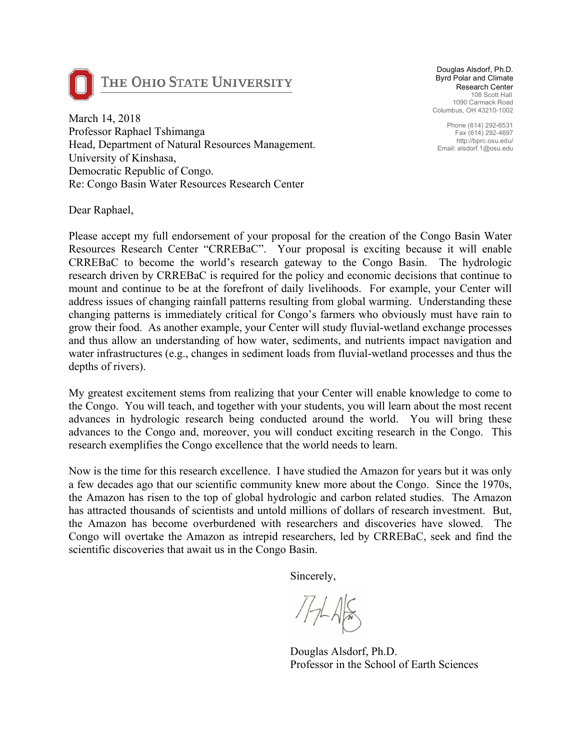

## THE OHIO STATE UNIVERSITY

Douglas Alsdorf, Ph.D. Byrd Polar and Climate Research Center 108 Scott Hall 1090 Carmack Road Columbus, OH 43210-1002

Phone (614) 292-6531 Fax (614) 292-4697 http://bprc.osu.edu/ Email: alsdorf.1@osu.edu

March 14, 2018 Professor Raphael Tshimanga Head, Department of Natural Resources Management. University of Kinshasa, Democratic Republic of Congo. Re: Congo Basin Water Resources Research Center

Dear Raphael,

Please accept my full endorsement of your proposal for the creation of the Congo Basin Water Resources Research Center "CRREBaC". Your proposal is exciting because it will enable CRREBaC to become the world's research gateway to the Congo Basin. The hydrologic research driven by CRREBaC is required for the policy and economic decisions that continue to mount and continue to be at the forefront of daily livelihoods. For example, your Center will address issues of changing rainfall patterns resulting from global warming. Understanding these changing patterns is immediately critical for Congo's farmers who obviously must have rain to grow their food. As another example, your Center will study fluvial-wetland exchange processes and thus allow an understanding of how water, sediments, and nutrients impact navigation and water infrastructures (e.g., changes in sediment loads from fluvial-wetland processes and thus the depths of rivers).

My greatest excitement stems from realizing that your Center will enable knowledge to come to the Congo. You will teach, and together with your students, you will learn about the most recent advances in hydrologic research being conducted around the world. You will bring these advances to the Congo and, moreover, you will conduct exciting research in the Congo. This research exemplifies the Congo excellence that the world needs to learn.

Now is the time for this research excellence. I have studied the Amazon for years but it was only a few decades ago that our scientific community knew more about the Congo. Since the 1970s, the Amazon has risen to the top of global hydrologic and carbon related studies. The Amazon has attracted thousands of scientists and untold millions of dollars of research investment. But, the Amazon has become overburdened with researchers and discoveries have slowed. The Congo will overtake the Amazon as intrepid researchers, led by CRREBaC, seek and find the scientific discoveries that await us in the Congo Basin.

Sincerely,

Douglas Alsdorf, Ph.D. Professor in the School of Earth Sciences